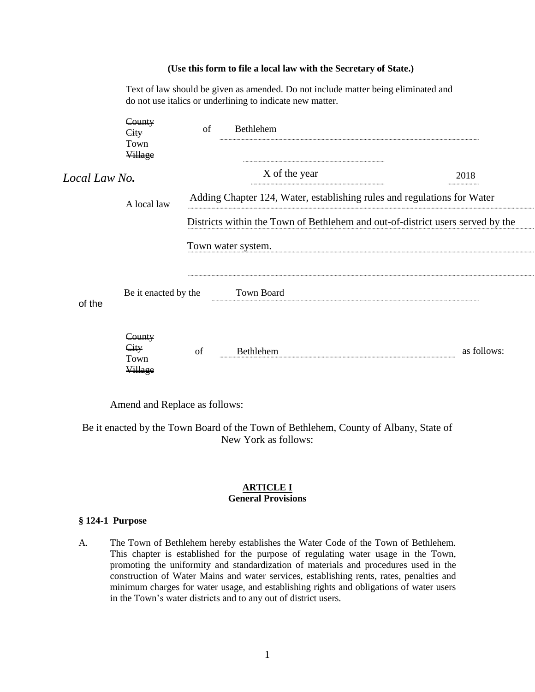#### **(Use this form to file a local law with the Secretary of State.)**

|               | Text of law should be given as amended. Do not include matter being eliminated and<br>do not use italics or underlining to indicate new matter. |                                                                                |                    |             |  |
|---------------|-------------------------------------------------------------------------------------------------------------------------------------------------|--------------------------------------------------------------------------------|--------------------|-------------|--|
|               | <del>County</del><br><del>City</del><br>Town<br><b>Village</b>                                                                                  | of                                                                             | Bethlehem          |             |  |
| Local Law No. |                                                                                                                                                 |                                                                                | X of the year      | 2018        |  |
|               | A local law                                                                                                                                     | Adding Chapter 124, Water, establishing rules and regulations for Water        |                    |             |  |
|               |                                                                                                                                                 | Districts within the Town of Bethlehem and out-of-district users served by the |                    |             |  |
|               |                                                                                                                                                 |                                                                                | Town water system. |             |  |
| of the        | Be it enacted by the                                                                                                                            |                                                                                | <b>Town Board</b>  |             |  |
|               | <del>County</del><br><del>City</del><br>Town<br><b>Village</b>                                                                                  | of                                                                             | <b>Bethlehem</b>   | as follows: |  |

Amend and Replace as follows:

Be it enacted by the Town Board of the Town of Bethlehem, County of Albany, State of New York as follows:

### **ARTICLE I General Provisions**

### **§ 124-1 Purpose**

A. The Town of Bethlehem hereby establishes the Water Code of the Town of Bethlehem. This chapter is established for the purpose of regulating water usage in the Town, promoting the uniformity and standardization of materials and procedures used in the construction of Water Mains and water services, establishing rents, rates, penalties and minimum charges for water usage, and establishing rights and obligations of water users in the Town's water districts and to any out of district users.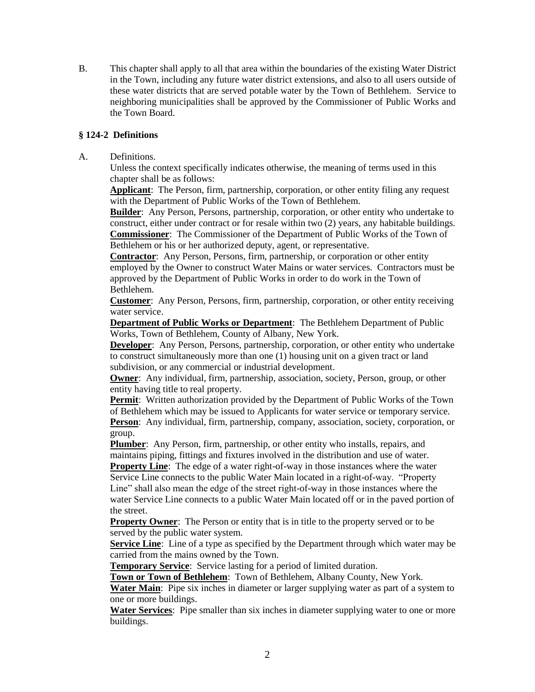B. This chapter shall apply to all that area within the boundaries of the existing Water District in the Town, including any future water district extensions, and also to all users outside of these water districts that are served potable water by the Town of Bethlehem. Service to neighboring municipalities shall be approved by the Commissioner of Public Works and the Town Board.

## **§ 124-2 Definitions**

A. Definitions.

Unless the context specifically indicates otherwise, the meaning of terms used in this chapter shall be as follows:

**Applicant**: The Person, firm, partnership, corporation, or other entity filing any request with the Department of Public Works of the Town of Bethlehem.

**Builder**: Any Person, Persons, partnership, corporation, or other entity who undertake to construct, either under contract or for resale within two (2) years, any habitable buildings. **Commissioner**: The Commissioner of the Department of Public Works of the Town of Bethlehem or his or her authorized deputy, agent, or representative.

**Contractor**: Any Person, Persons, firm, partnership, or corporation or other entity employed by the Owner to construct Water Mains or water services. Contractors must be approved by the Department of Public Works in order to do work in the Town of Bethlehem.

**Customer**: Any Person, Persons, firm, partnership, corporation, or other entity receiving water service.

**Department of Public Works or Department**: The Bethlehem Department of Public Works, Town of Bethlehem, County of Albany, New York.

**Developer**: Any Person, Persons, partnership, corporation, or other entity who undertake to construct simultaneously more than one (1) housing unit on a given tract or land subdivision, or any commercial or industrial development.

**Owner**: Any individual, firm, partnership, association, society, Person, group, or other entity having title to real property.

**Permit**: Written authorization provided by the Department of Public Works of the Town of Bethlehem which may be issued to Applicants for water service or temporary service.

**Person**: Any individual, firm, partnership, company, association, society, corporation, or group.

**Plumber**: Any Person, firm, partnership, or other entity who installs, repairs, and maintains piping, fittings and fixtures involved in the distribution and use of water.

**Property Line**: The edge of a water right-of-way in those instances where the water Service Line connects to the public Water Main located in a right-of-way. "Property Line" shall also mean the edge of the street right-of-way in those instances where the water Service Line connects to a public Water Main located off or in the paved portion of the street.

**Property Owner:** The Person or entity that is in title to the property served or to be served by the public water system.

**Service Line**: Line of a type as specified by the Department through which water may be carried from the mains owned by the Town.

**Temporary Service**: Service lasting for a period of limited duration.

**Town or Town of Bethlehem**: Town of Bethlehem, Albany County, New York.

**Water Main**: Pipe six inches in diameter or larger supplying water as part of a system to one or more buildings.

**Water Services**: Pipe smaller than six inches in diameter supplying water to one or more buildings.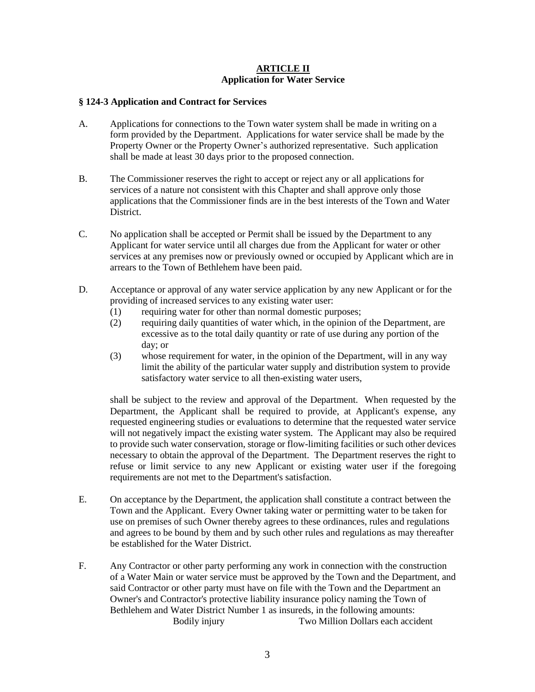### **ARTICLE II Application for Water Service**

## **§ 124-3 Application and Contract for Services**

- A. Applications for connections to the Town water system shall be made in writing on a form provided by the Department. Applications for water service shall be made by the Property Owner or the Property Owner's authorized representative. Such application shall be made at least 30 days prior to the proposed connection.
- B. The Commissioner reserves the right to accept or reject any or all applications for services of a nature not consistent with this Chapter and shall approve only those applications that the Commissioner finds are in the best interests of the Town and Water District.
- C. No application shall be accepted or Permit shall be issued by the Department to any Applicant for water service until all charges due from the Applicant for water or other services at any premises now or previously owned or occupied by Applicant which are in arrears to the Town of Bethlehem have been paid.
- D. Acceptance or approval of any water service application by any new Applicant or for the providing of increased services to any existing water user:
	- (1) requiring water for other than normal domestic purposes;
	- (2) requiring daily quantities of water which, in the opinion of the Department, are excessive as to the total daily quantity or rate of use during any portion of the day; or
	- (3) whose requirement for water, in the opinion of the Department, will in any way limit the ability of the particular water supply and distribution system to provide satisfactory water service to all then-existing water users,

shall be subject to the review and approval of the Department. When requested by the Department, the Applicant shall be required to provide, at Applicant's expense, any requested engineering studies or evaluations to determine that the requested water service will not negatively impact the existing water system. The Applicant may also be required to provide such water conservation, storage or flow-limiting facilities or such other devices necessary to obtain the approval of the Department. The Department reserves the right to refuse or limit service to any new Applicant or existing water user if the foregoing requirements are not met to the Department's satisfaction.

- E. On acceptance by the Department, the application shall constitute a contract between the Town and the Applicant. Every Owner taking water or permitting water to be taken for use on premises of such Owner thereby agrees to these ordinances, rules and regulations and agrees to be bound by them and by such other rules and regulations as may thereafter be established for the Water District.
- F. Any Contractor or other party performing any work in connection with the construction of a Water Main or water service must be approved by the Town and the Department, and said Contractor or other party must have on file with the Town and the Department an Owner's and Contractor's protective liability insurance policy naming the Town of Bethlehem and Water District Number 1 as insureds, in the following amounts: Bodily injury Two Million Dollars each accident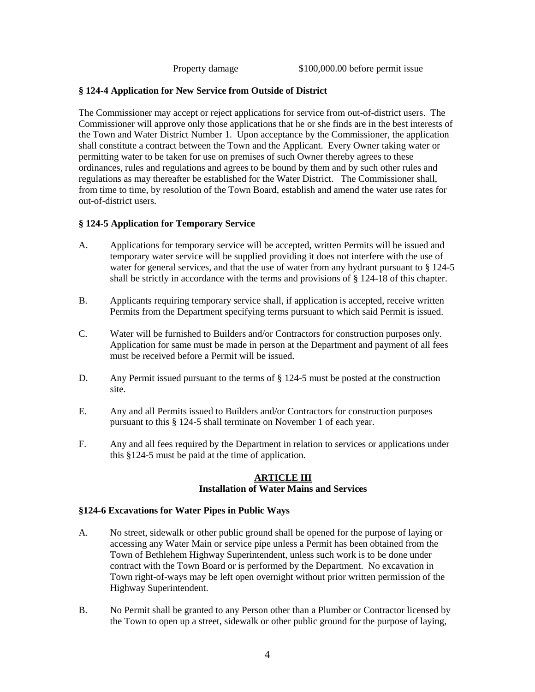## **§ 124-4 Application for New Service from Outside of District**

The Commissioner may accept or reject applications for service from out-of-district users. The Commissioner will approve only those applications that he or she finds are in the best interests of the Town and Water District Number 1. Upon acceptance by the Commissioner, the application shall constitute a contract between the Town and the Applicant. Every Owner taking water or permitting water to be taken for use on premises of such Owner thereby agrees to these ordinances, rules and regulations and agrees to be bound by them and by such other rules and regulations as may thereafter be established for the Water District. The Commissioner shall, from time to time, by resolution of the Town Board, establish and amend the water use rates for out-of-district users.

# **§ 124-5 Application for Temporary Service**

- A. Applications for temporary service will be accepted, written Permits will be issued and temporary water service will be supplied providing it does not interfere with the use of water for general services, and that the use of water from any hydrant pursuant to § 124-5 shall be strictly in accordance with the terms and provisions of § 124-18 of this chapter.
- B. Applicants requiring temporary service shall, if application is accepted, receive written Permits from the Department specifying terms pursuant to which said Permit is issued.
- C. Water will be furnished to Builders and/or Contractors for construction purposes only. Application for same must be made in person at the Department and payment of all fees must be received before a Permit will be issued.
- D. Any Permit issued pursuant to the terms of  $\S 124-5$  must be posted at the construction site.
- E. Any and all Permits issued to Builders and/or Contractors for construction purposes pursuant to this § 124-5 shall terminate on November 1 of each year.
- F. Any and all fees required by the Department in relation to services or applications under this §124-5 must be paid at the time of application.

#### **ARTICLE III Installation of Water Mains and Services**

### **§124-6 Excavations for Water Pipes in Public Ways**

- A. No street, sidewalk or other public ground shall be opened for the purpose of laying or accessing any Water Main or service pipe unless a Permit has been obtained from the Town of Bethlehem Highway Superintendent, unless such work is to be done under contract with the Town Board or is performed by the Department. No excavation in Town right-of-ways may be left open overnight without prior written permission of the Highway Superintendent.
- B. No Permit shall be granted to any Person other than a Plumber or Contractor licensed by the Town to open up a street, sidewalk or other public ground for the purpose of laying,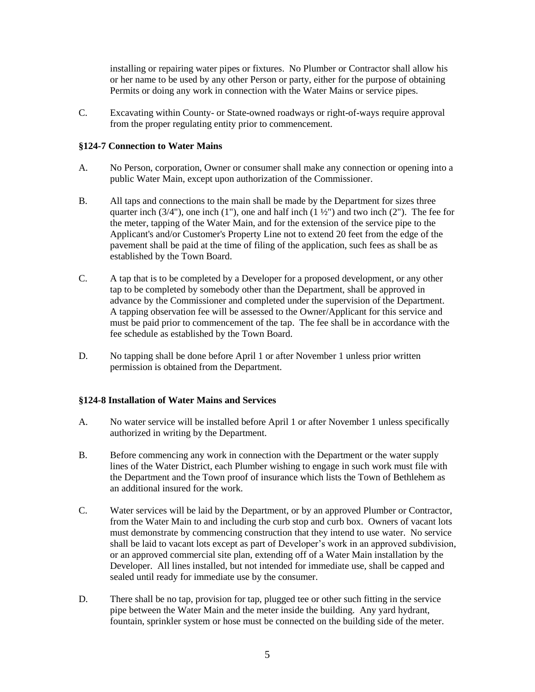installing or repairing water pipes or fixtures. No Plumber or Contractor shall allow his or her name to be used by any other Person or party, either for the purpose of obtaining Permits or doing any work in connection with the Water Mains or service pipes.

C. Excavating within County- or State-owned roadways or right-of-ways require approval from the proper regulating entity prior to commencement.

### **§124-7 Connection to Water Mains**

- A. No Person, corporation, Owner or consumer shall make any connection or opening into a public Water Main, except upon authorization of the Commissioner.
- B. All taps and connections to the main shall be made by the Department for sizes three quarter inch  $(3/4)$ , one inch  $(1)$ , one and half inch  $(1\frac{1}{2})$  and two inch  $(2)$ . The fee for the meter, tapping of the Water Main, and for the extension of the service pipe to the Applicant's and/or Customer's Property Line not to extend 20 feet from the edge of the pavement shall be paid at the time of filing of the application, such fees as shall be as established by the Town Board.
- C. A tap that is to be completed by a Developer for a proposed development, or any other tap to be completed by somebody other than the Department, shall be approved in advance by the Commissioner and completed under the supervision of the Department. A tapping observation fee will be assessed to the Owner/Applicant for this service and must be paid prior to commencement of the tap. The fee shall be in accordance with the fee schedule as established by the Town Board.
- D. No tapping shall be done before April 1 or after November 1 unless prior written permission is obtained from the Department.

### **§124-8 Installation of Water Mains and Services**

- A. No water service will be installed before April 1 or after November 1 unless specifically authorized in writing by the Department.
- B. Before commencing any work in connection with the Department or the water supply lines of the Water District, each Plumber wishing to engage in such work must file with the Department and the Town proof of insurance which lists the Town of Bethlehem as an additional insured for the work.
- C. Water services will be laid by the Department, or by an approved Plumber or Contractor, from the Water Main to and including the curb stop and curb box. Owners of vacant lots must demonstrate by commencing construction that they intend to use water. No service shall be laid to vacant lots except as part of Developer's work in an approved subdivision, or an approved commercial site plan, extending off of a Water Main installation by the Developer. All lines installed, but not intended for immediate use, shall be capped and sealed until ready for immediate use by the consumer.
- D. There shall be no tap, provision for tap, plugged tee or other such fitting in the service pipe between the Water Main and the meter inside the building. Any yard hydrant, fountain, sprinkler system or hose must be connected on the building side of the meter.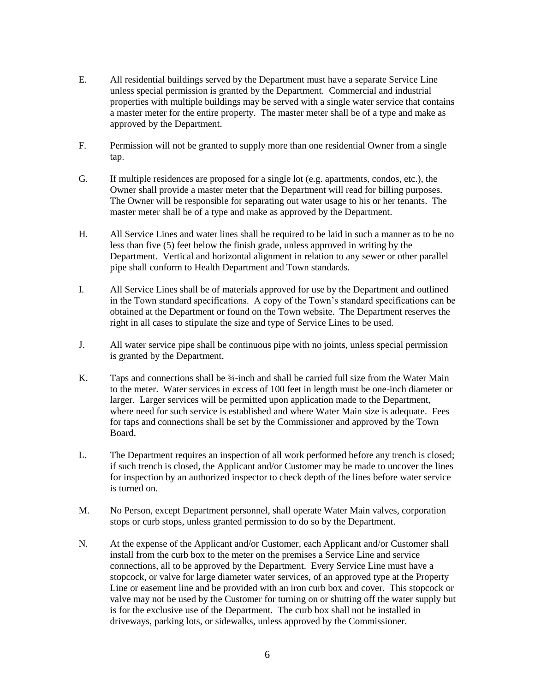- E. All residential buildings served by the Department must have a separate Service Line unless special permission is granted by the Department. Commercial and industrial properties with multiple buildings may be served with a single water service that contains a master meter for the entire property. The master meter shall be of a type and make as approved by the Department.
- F. Permission will not be granted to supply more than one residential Owner from a single tap.
- G. If multiple residences are proposed for a single lot (e.g. apartments, condos, etc.), the Owner shall provide a master meter that the Department will read for billing purposes. The Owner will be responsible for separating out water usage to his or her tenants. The master meter shall be of a type and make as approved by the Department.
- H. All Service Lines and water lines shall be required to be laid in such a manner as to be no less than five (5) feet below the finish grade, unless approved in writing by the Department. Vertical and horizontal alignment in relation to any sewer or other parallel pipe shall conform to Health Department and Town standards.
- I. All Service Lines shall be of materials approved for use by the Department and outlined in the Town standard specifications. A copy of the Town's standard specifications can be obtained at the Department or found on the Town website. The Department reserves the right in all cases to stipulate the size and type of Service Lines to be used.
- J. All water service pipe shall be continuous pipe with no joints, unless special permission is granted by the Department.
- K. Taps and connections shall be 34-inch and shall be carried full size from the Water Main to the meter. Water services in excess of 100 feet in length must be one-inch diameter or larger. Larger services will be permitted upon application made to the Department, where need for such service is established and where Water Main size is adequate. Fees for taps and connections shall be set by the Commissioner and approved by the Town Board.
- L. The Department requires an inspection of all work performed before any trench is closed; if such trench is closed, the Applicant and/or Customer may be made to uncover the lines for inspection by an authorized inspector to check depth of the lines before water service is turned on.
- M. No Person, except Department personnel, shall operate Water Main valves, corporation stops or curb stops, unless granted permission to do so by the Department.
- N. At the expense of the Applicant and/or Customer, each Applicant and/or Customer shall install from the curb box to the meter on the premises a Service Line and service connections, all to be approved by the Department. Every Service Line must have a stopcock, or valve for large diameter water services, of an approved type at the Property Line or easement line and be provided with an iron curb box and cover. This stopcock or valve may not be used by the Customer for turning on or shutting off the water supply but is for the exclusive use of the Department. The curb box shall not be installed in driveways, parking lots, or sidewalks, unless approved by the Commissioner.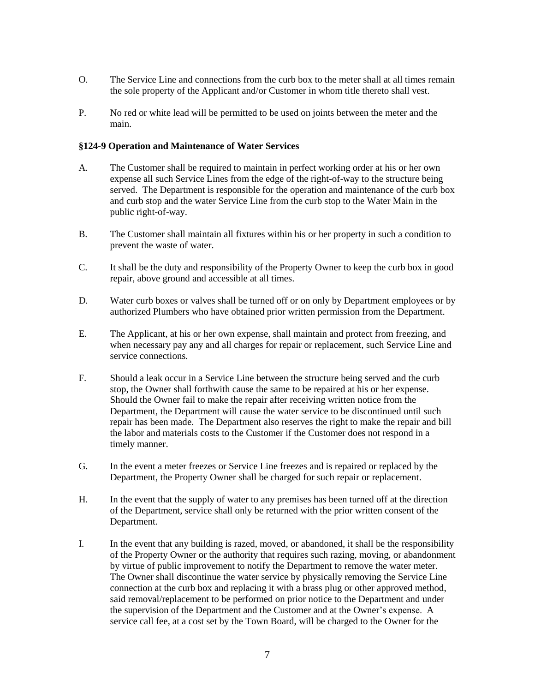- O. The Service Line and connections from the curb box to the meter shall at all times remain the sole property of the Applicant and/or Customer in whom title thereto shall vest.
- P. No red or white lead will be permitted to be used on joints between the meter and the main.

#### **§124-9 Operation and Maintenance of Water Services**

- A. The Customer shall be required to maintain in perfect working order at his or her own expense all such Service Lines from the edge of the right-of-way to the structure being served. The Department is responsible for the operation and maintenance of the curb box and curb stop and the water Service Line from the curb stop to the Water Main in the public right-of-way.
- B. The Customer shall maintain all fixtures within his or her property in such a condition to prevent the waste of water.
- C. It shall be the duty and responsibility of the Property Owner to keep the curb box in good repair, above ground and accessible at all times.
- D. Water curb boxes or valves shall be turned off or on only by Department employees or by authorized Plumbers who have obtained prior written permission from the Department.
- E. The Applicant, at his or her own expense, shall maintain and protect from freezing, and when necessary pay any and all charges for repair or replacement, such Service Line and service connections.
- F. Should a leak occur in a Service Line between the structure being served and the curb stop, the Owner shall forthwith cause the same to be repaired at his or her expense. Should the Owner fail to make the repair after receiving written notice from the Department, the Department will cause the water service to be discontinued until such repair has been made. The Department also reserves the right to make the repair and bill the labor and materials costs to the Customer if the Customer does not respond in a timely manner.
- G. In the event a meter freezes or Service Line freezes and is repaired or replaced by the Department, the Property Owner shall be charged for such repair or replacement.
- H. In the event that the supply of water to any premises has been turned off at the direction of the Department, service shall only be returned with the prior written consent of the Department.
- I. In the event that any building is razed, moved, or abandoned, it shall be the responsibility of the Property Owner or the authority that requires such razing, moving, or abandonment by virtue of public improvement to notify the Department to remove the water meter. The Owner shall discontinue the water service by physically removing the Service Line connection at the curb box and replacing it with a brass plug or other approved method, said removal/replacement to be performed on prior notice to the Department and under the supervision of the Department and the Customer and at the Owner's expense. A service call fee, at a cost set by the Town Board, will be charged to the Owner for the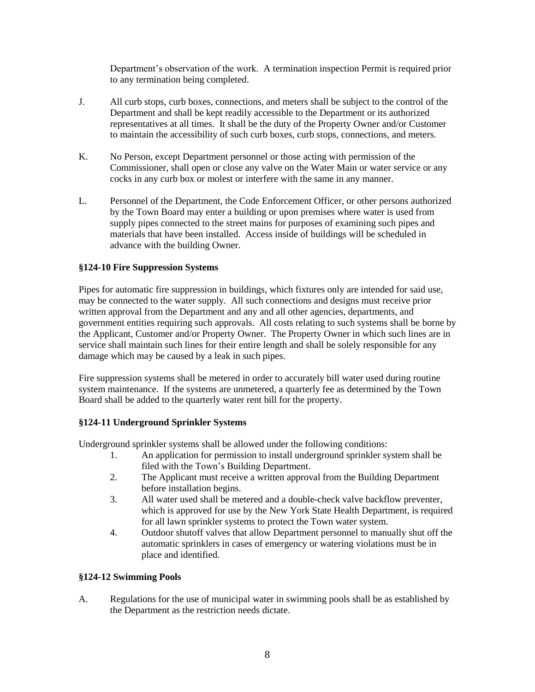Department's observation of the work. A termination inspection Permit is required prior to any termination being completed.

- J. All curb stops, curb boxes, connections, and meters shall be subject to the control of the Department and shall be kept readily accessible to the Department or its authorized representatives at all times. It shall be the duty of the Property Owner and/or Customer to maintain the accessibility of such curb boxes, curb stops, connections, and meters.
- K. No Person, except Department personnel or those acting with permission of the Commissioner, shall open or close any valve on the Water Main or water service or any cocks in any curb box or molest or interfere with the same in any manner.
- L. Personnel of the Department, the Code Enforcement Officer, or other persons authorized by the Town Board may enter a building or upon premises where water is used from supply pipes connected to the street mains for purposes of examining such pipes and materials that have been installed. Access inside of buildings will be scheduled in advance with the building Owner.

# **§124-10 Fire Suppression Systems**

Pipes for automatic fire suppression in buildings, which fixtures only are intended for said use, may be connected to the water supply. All such connections and designs must receive prior written approval from the Department and any and all other agencies, departments, and government entities requiring such approvals. All costs relating to such systems shall be borne by the Applicant, Customer and/or Property Owner. The Property Owner in which such lines are in service shall maintain such lines for their entire length and shall be solely responsible for any damage which may be caused by a leak in such pipes.

Fire suppression systems shall be metered in order to accurately bill water used during routine system maintenance. If the systems are unmetered, a quarterly fee as determined by the Town Board shall be added to the quarterly water rent bill for the property.

### **§124-11 Underground Sprinkler Systems**

Underground sprinkler systems shall be allowed under the following conditions:

- 1. An application for permission to install underground sprinkler system shall be filed with the Town's Building Department.
- 2. The Applicant must receive a written approval from the Building Department before installation begins.
- 3. All water used shall be metered and a double-check valve backflow preventer, which is approved for use by the New York State Health Department, is required for all lawn sprinkler systems to protect the Town water system.
- 4. Outdoor shutoff valves that allow Department personnel to manually shut off the automatic sprinklers in cases of emergency or watering violations must be in place and identified.

# **§124-12 Swimming Pools**

A. Regulations for the use of municipal water in swimming pools shall be as established by the Department as the restriction needs dictate.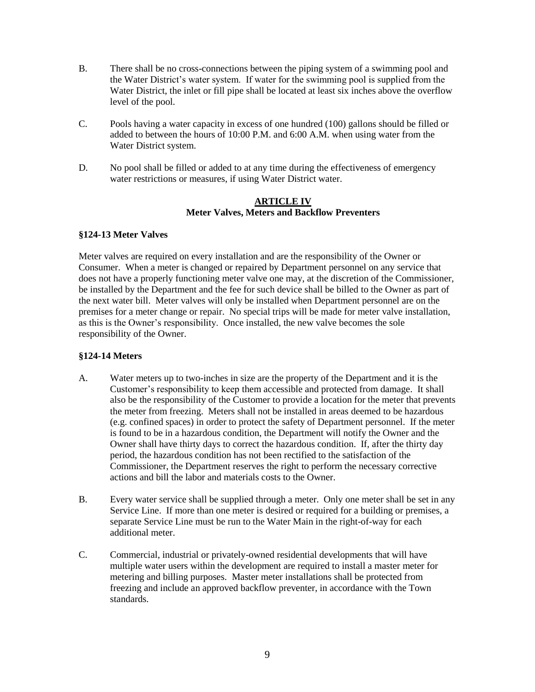- B. There shall be no cross-connections between the piping system of a swimming pool and the Water District's water system. If water for the swimming pool is supplied from the Water District, the inlet or fill pipe shall be located at least six inches above the overflow level of the pool.
- C. Pools having a water capacity in excess of one hundred (100) gallons should be filled or added to between the hours of 10:00 P.M. and 6:00 A.M. when using water from the Water District system.
- D. No pool shall be filled or added to at any time during the effectiveness of emergency water restrictions or measures, if using Water District water.

### **ARTICLE IV Meter Valves, Meters and Backflow Preventers**

### **§124-13 Meter Valves**

Meter valves are required on every installation and are the responsibility of the Owner or Consumer. When a meter is changed or repaired by Department personnel on any service that does not have a properly functioning meter valve one may, at the discretion of the Commissioner, be installed by the Department and the fee for such device shall be billed to the Owner as part of the next water bill. Meter valves will only be installed when Department personnel are on the premises for a meter change or repair. No special trips will be made for meter valve installation, as this is the Owner's responsibility. Once installed, the new valve becomes the sole responsibility of the Owner.

# **§124-14 Meters**

- A. Water meters up to two-inches in size are the property of the Department and it is the Customer's responsibility to keep them accessible and protected from damage. It shall also be the responsibility of the Customer to provide a location for the meter that prevents the meter from freezing. Meters shall not be installed in areas deemed to be hazardous (e.g. confined spaces) in order to protect the safety of Department personnel. If the meter is found to be in a hazardous condition, the Department will notify the Owner and the Owner shall have thirty days to correct the hazardous condition. If, after the thirty day period, the hazardous condition has not been rectified to the satisfaction of the Commissioner, the Department reserves the right to perform the necessary corrective actions and bill the labor and materials costs to the Owner.
- B. Every water service shall be supplied through a meter. Only one meter shall be set in any Service Line. If more than one meter is desired or required for a building or premises, a separate Service Line must be run to the Water Main in the right-of-way for each additional meter.
- C. Commercial, industrial or privately-owned residential developments that will have multiple water users within the development are required to install a master meter for metering and billing purposes. Master meter installations shall be protected from freezing and include an approved backflow preventer, in accordance with the Town standards.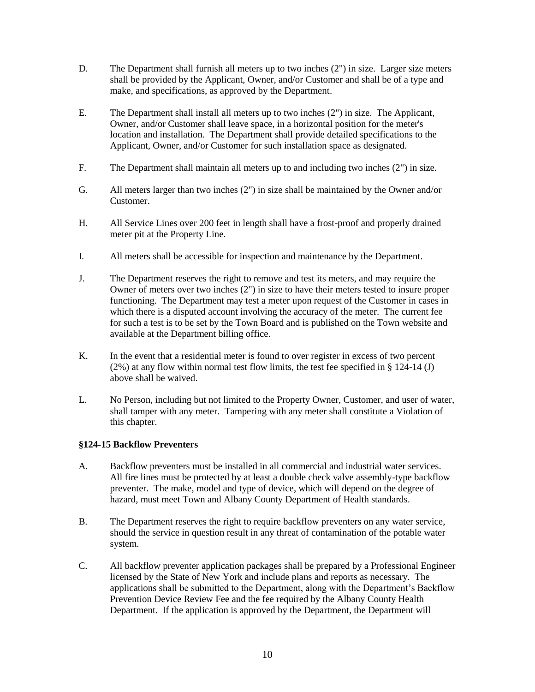- D. The Department shall furnish all meters up to two inches (2") in size. Larger size meters shall be provided by the Applicant, Owner, and/or Customer and shall be of a type and make, and specifications, as approved by the Department.
- E. The Department shall install all meters up to two inches (2") in size. The Applicant, Owner, and/or Customer shall leave space, in a horizontal position for the meter's location and installation. The Department shall provide detailed specifications to the Applicant, Owner, and/or Customer for such installation space as designated.
- F. The Department shall maintain all meters up to and including two inches (2") in size.
- G. All meters larger than two inches (2") in size shall be maintained by the Owner and/or Customer.
- H. All Service Lines over 200 feet in length shall have a frost-proof and properly drained meter pit at the Property Line.
- I. All meters shall be accessible for inspection and maintenance by the Department.
- J. The Department reserves the right to remove and test its meters, and may require the Owner of meters over two inches (2") in size to have their meters tested to insure proper functioning. The Department may test a meter upon request of the Customer in cases in which there is a disputed account involving the accuracy of the meter. The current fee for such a test is to be set by the Town Board and is published on the Town website and available at the Department billing office.
- K. In the event that a residential meter is found to over register in excess of two percent (2%) at any flow within normal test flow limits, the test fee specified in § 124-14 (J) above shall be waived.
- L. No Person, including but not limited to the Property Owner, Customer, and user of water, shall tamper with any meter. Tampering with any meter shall constitute a Violation of this chapter.

### **§124-15 Backflow Preventers**

- A. Backflow preventers must be installed in all commercial and industrial water services. All fire lines must be protected by at least a double check valve assembly-type backflow preventer. The make, model and type of device, which will depend on the degree of hazard, must meet Town and Albany County Department of Health standards.
- B. The Department reserves the right to require backflow preventers on any water service, should the service in question result in any threat of contamination of the potable water system.
- C. All backflow preventer application packages shall be prepared by a Professional Engineer licensed by the State of New York and include plans and reports as necessary. The applications shall be submitted to the Department, along with the Department's Backflow Prevention Device Review Fee and the fee required by the Albany County Health Department. If the application is approved by the Department, the Department will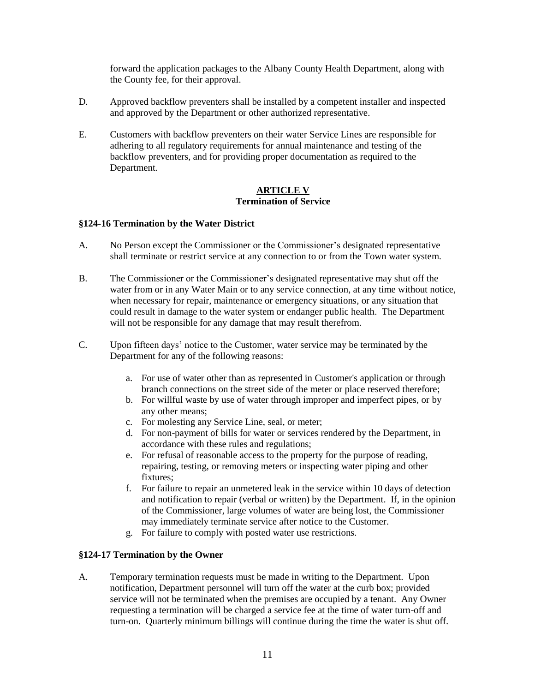forward the application packages to the Albany County Health Department, along with the County fee, for their approval.

- D. Approved backflow preventers shall be installed by a competent installer and inspected and approved by the Department or other authorized representative.
- E. Customers with backflow preventers on their water Service Lines are responsible for adhering to all regulatory requirements for annual maintenance and testing of the backflow preventers, and for providing proper documentation as required to the Department.

#### **ARTICLE V Termination of Service**

### **§124-16 Termination by the Water District**

- A. No Person except the Commissioner or the Commissioner's designated representative shall terminate or restrict service at any connection to or from the Town water system.
- B. The Commissioner or the Commissioner's designated representative may shut off the water from or in any Water Main or to any service connection, at any time without notice, when necessary for repair, maintenance or emergency situations, or any situation that could result in damage to the water system or endanger public health. The Department will not be responsible for any damage that may result therefrom.
- C. Upon fifteen days' notice to the Customer, water service may be terminated by the Department for any of the following reasons:
	- a. For use of water other than as represented in Customer's application or through branch connections on the street side of the meter or place reserved therefore;
	- b. For willful waste by use of water through improper and imperfect pipes, or by any other means;
	- c. For molesting any Service Line, seal, or meter;
	- d. For non-payment of bills for water or services rendered by the Department, in accordance with these rules and regulations;
	- e. For refusal of reasonable access to the property for the purpose of reading, repairing, testing, or removing meters or inspecting water piping and other fixtures;
	- f. For failure to repair an unmetered leak in the service within 10 days of detection and notification to repair (verbal or written) by the Department. If, in the opinion of the Commissioner, large volumes of water are being lost, the Commissioner may immediately terminate service after notice to the Customer.
	- g. For failure to comply with posted water use restrictions.

### **§124-17 Termination by the Owner**

A. Temporary termination requests must be made in writing to the Department. Upon notification, Department personnel will turn off the water at the curb box; provided service will not be terminated when the premises are occupied by a tenant. Any Owner requesting a termination will be charged a service fee at the time of water turn-off and turn-on. Quarterly minimum billings will continue during the time the water is shut off.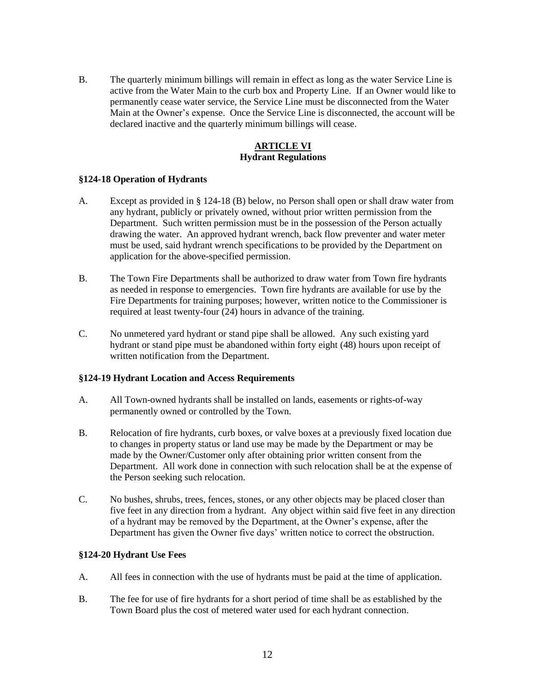B. The quarterly minimum billings will remain in effect as long as the water Service Line is active from the Water Main to the curb box and Property Line. If an Owner would like to permanently cease water service, the Service Line must be disconnected from the Water Main at the Owner's expense. Once the Service Line is disconnected, the account will be declared inactive and the quarterly minimum billings will cease.

## **ARTICLE VI Hydrant Regulations**

### **§124-18 Operation of Hydrants**

- A. Except as provided in § 124-18 (B) below, no Person shall open or shall draw water from any hydrant, publicly or privately owned, without prior written permission from the Department. Such written permission must be in the possession of the Person actually drawing the water. An approved hydrant wrench, back flow preventer and water meter must be used, said hydrant wrench specifications to be provided by the Department on application for the above-specified permission.
- B. The Town Fire Departments shall be authorized to draw water from Town fire hydrants as needed in response to emergencies. Town fire hydrants are available for use by the Fire Departments for training purposes; however, written notice to the Commissioner is required at least twenty-four (24) hours in advance of the training.
- C. No unmetered yard hydrant or stand pipe shall be allowed. Any such existing yard hydrant or stand pipe must be abandoned within forty eight (48) hours upon receipt of written notification from the Department.

### **§124-19 Hydrant Location and Access Requirements**

- A. All Town-owned hydrants shall be installed on lands, easements or rights-of-way permanently owned or controlled by the Town.
- B. Relocation of fire hydrants, curb boxes, or valve boxes at a previously fixed location due to changes in property status or land use may be made by the Department or may be made by the Owner/Customer only after obtaining prior written consent from the Department. All work done in connection with such relocation shall be at the expense of the Person seeking such relocation.
- C. No bushes, shrubs, trees, fences, stones, or any other objects may be placed closer than five feet in any direction from a hydrant. Any object within said five feet in any direction of a hydrant may be removed by the Department, at the Owner's expense, after the Department has given the Owner five days' written notice to correct the obstruction.

### **§124-20 Hydrant Use Fees**

- A. All fees in connection with the use of hydrants must be paid at the time of application.
- B. The fee for use of fire hydrants for a short period of time shall be as established by the Town Board plus the cost of metered water used for each hydrant connection.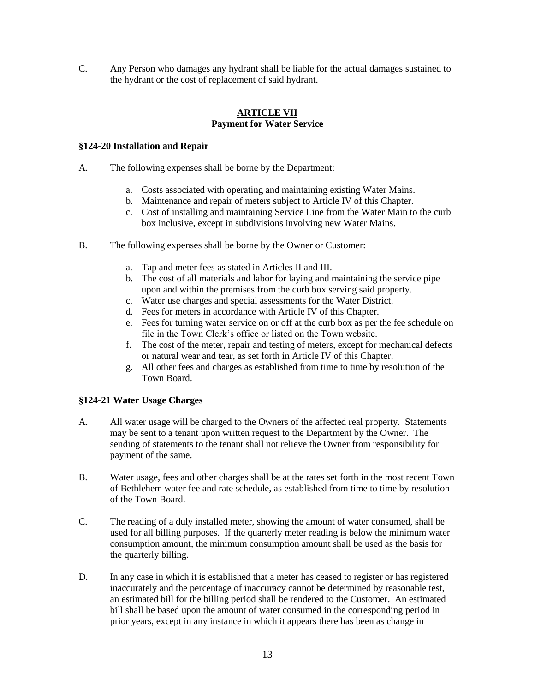C. Any Person who damages any hydrant shall be liable for the actual damages sustained to the hydrant or the cost of replacement of said hydrant.

## **ARTICLE VII Payment for Water Service**

### **§124-20 Installation and Repair**

- A. The following expenses shall be borne by the Department:
	- a. Costs associated with operating and maintaining existing Water Mains.
	- b. Maintenance and repair of meters subject to Article IV of this Chapter.
	- c. Cost of installing and maintaining Service Line from the Water Main to the curb box inclusive, except in subdivisions involving new Water Mains.
- B. The following expenses shall be borne by the Owner or Customer:
	- a. Tap and meter fees as stated in Articles II and III.
	- b. The cost of all materials and labor for laying and maintaining the service pipe upon and within the premises from the curb box serving said property.
	- c. Water use charges and special assessments for the Water District.
	- d. Fees for meters in accordance with Article IV of this Chapter.
	- e. Fees for turning water service on or off at the curb box as per the fee schedule on file in the Town Clerk's office or listed on the Town website.
	- f. The cost of the meter, repair and testing of meters, except for mechanical defects or natural wear and tear, as set forth in Article IV of this Chapter.
	- g. All other fees and charges as established from time to time by resolution of the Town Board.

### **§124-21 Water Usage Charges**

- A. All water usage will be charged to the Owners of the affected real property. Statements may be sent to a tenant upon written request to the Department by the Owner. The sending of statements to the tenant shall not relieve the Owner from responsibility for payment of the same.
- B. Water usage, fees and other charges shall be at the rates set forth in the most recent Town of Bethlehem water fee and rate schedule, as established from time to time by resolution of the Town Board.
- C. The reading of a duly installed meter, showing the amount of water consumed, shall be used for all billing purposes. If the quarterly meter reading is below the minimum water consumption amount, the minimum consumption amount shall be used as the basis for the quarterly billing.
- D. In any case in which it is established that a meter has ceased to register or has registered inaccurately and the percentage of inaccuracy cannot be determined by reasonable test, an estimated bill for the billing period shall be rendered to the Customer. An estimated bill shall be based upon the amount of water consumed in the corresponding period in prior years, except in any instance in which it appears there has been as change in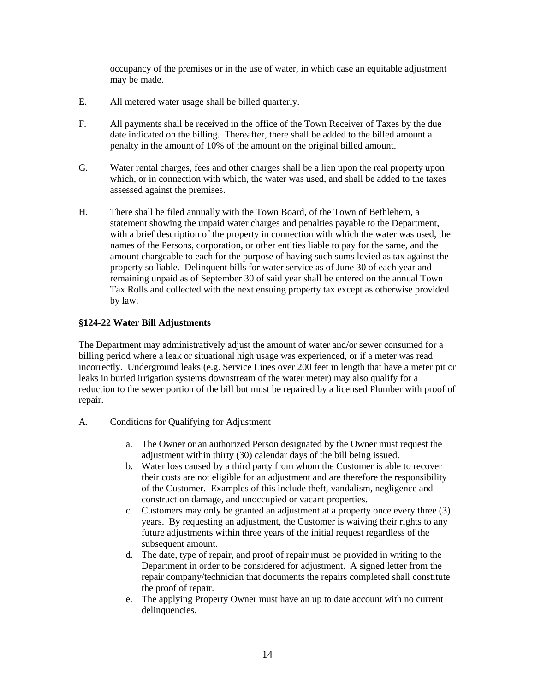occupancy of the premises or in the use of water, in which case an equitable adjustment may be made.

- E. All metered water usage shall be billed quarterly.
- F. All payments shall be received in the office of the Town Receiver of Taxes by the due date indicated on the billing. Thereafter, there shall be added to the billed amount a penalty in the amount of 10% of the amount on the original billed amount.
- G. Water rental charges, fees and other charges shall be a lien upon the real property upon which, or in connection with which, the water was used, and shall be added to the taxes assessed against the premises.
- H. There shall be filed annually with the Town Board, of the Town of Bethlehem, a statement showing the unpaid water charges and penalties payable to the Department, with a brief description of the property in connection with which the water was used, the names of the Persons, corporation, or other entities liable to pay for the same, and the amount chargeable to each for the purpose of having such sums levied as tax against the property so liable. Delinquent bills for water service as of June 30 of each year and remaining unpaid as of September 30 of said year shall be entered on the annual Town Tax Rolls and collected with the next ensuing property tax except as otherwise provided by law.

## **§124-22 Water Bill Adjustments**

The Department may administratively adjust the amount of water and/or sewer consumed for a billing period where a leak or situational high usage was experienced, or if a meter was read incorrectly. Underground leaks (e.g. Service Lines over 200 feet in length that have a meter pit or leaks in buried irrigation systems downstream of the water meter) may also qualify for a reduction to the sewer portion of the bill but must be repaired by a licensed Plumber with proof of repair.

- A. Conditions for Qualifying for Adjustment
	- a. The Owner or an authorized Person designated by the Owner must request the adjustment within thirty (30) calendar days of the bill being issued.
	- b. Water loss caused by a third party from whom the Customer is able to recover their costs are not eligible for an adjustment and are therefore the responsibility of the Customer. Examples of this include theft, vandalism, negligence and construction damage, and unoccupied or vacant properties.
	- c. Customers may only be granted an adjustment at a property once every three (3) years. By requesting an adjustment, the Customer is waiving their rights to any future adjustments within three years of the initial request regardless of the subsequent amount.
	- d. The date, type of repair, and proof of repair must be provided in writing to the Department in order to be considered for adjustment. A signed letter from the repair company/technician that documents the repairs completed shall constitute the proof of repair.
	- e. The applying Property Owner must have an up to date account with no current delinquencies.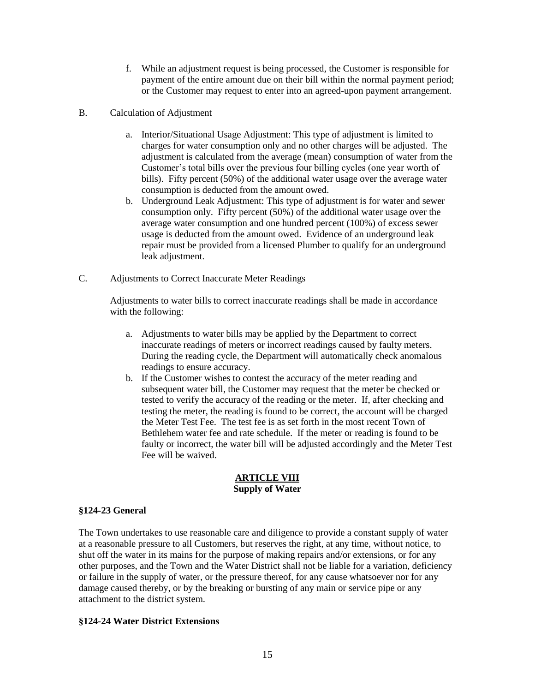- f. While an adjustment request is being processed, the Customer is responsible for payment of the entire amount due on their bill within the normal payment period; or the Customer may request to enter into an agreed-upon payment arrangement.
- B. Calculation of Adjustment
	- a. Interior/Situational Usage Adjustment: This type of adjustment is limited to charges for water consumption only and no other charges will be adjusted. The adjustment is calculated from the average (mean) consumption of water from the Customer's total bills over the previous four billing cycles (one year worth of bills). Fifty percent (50%) of the additional water usage over the average water consumption is deducted from the amount owed.
	- b. Underground Leak Adjustment: This type of adjustment is for water and sewer consumption only. Fifty percent (50%) of the additional water usage over the average water consumption and one hundred percent (100%) of excess sewer usage is deducted from the amount owed. Evidence of an underground leak repair must be provided from a licensed Plumber to qualify for an underground leak adjustment.
- C. Adjustments to Correct Inaccurate Meter Readings

Adjustments to water bills to correct inaccurate readings shall be made in accordance with the following:

- a. Adjustments to water bills may be applied by the Department to correct inaccurate readings of meters or incorrect readings caused by faulty meters. During the reading cycle, the Department will automatically check anomalous readings to ensure accuracy.
- b. If the Customer wishes to contest the accuracy of the meter reading and subsequent water bill, the Customer may request that the meter be checked or tested to verify the accuracy of the reading or the meter. If, after checking and testing the meter, the reading is found to be correct, the account will be charged the Meter Test Fee. The test fee is as set forth in the most recent Town of Bethlehem water fee and rate schedule. If the meter or reading is found to be faulty or incorrect, the water bill will be adjusted accordingly and the Meter Test Fee will be waived.

### **ARTICLE VIII Supply of Water**

# **§124-23 General**

The Town undertakes to use reasonable care and diligence to provide a constant supply of water at a reasonable pressure to all Customers, but reserves the right, at any time, without notice, to shut off the water in its mains for the purpose of making repairs and/or extensions, or for any other purposes, and the Town and the Water District shall not be liable for a variation, deficiency or failure in the supply of water, or the pressure thereof, for any cause whatsoever nor for any damage caused thereby, or by the breaking or bursting of any main or service pipe or any attachment to the district system.

### **§124-24 Water District Extensions**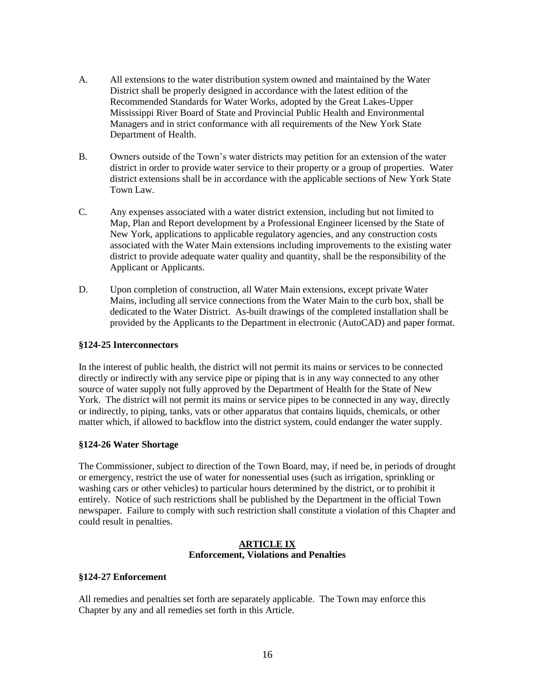- A. All extensions to the water distribution system owned and maintained by the Water District shall be properly designed in accordance with the latest edition of the Recommended Standards for Water Works, adopted by the Great Lakes-Upper Mississippi River Board of State and Provincial Public Health and Environmental Managers and in strict conformance with all requirements of the New York State Department of Health.
- B. Owners outside of the Town's water districts may petition for an extension of the water district in order to provide water service to their property or a group of properties. Water district extensions shall be in accordance with the applicable sections of New York State Town Law.
- C. Any expenses associated with a water district extension, including but not limited to Map, Plan and Report development by a Professional Engineer licensed by the State of New York, applications to applicable regulatory agencies, and any construction costs associated with the Water Main extensions including improvements to the existing water district to provide adequate water quality and quantity, shall be the responsibility of the Applicant or Applicants.
- D. Upon completion of construction, all Water Main extensions, except private Water Mains, including all service connections from the Water Main to the curb box, shall be dedicated to the Water District. As-built drawings of the completed installation shall be provided by the Applicants to the Department in electronic (AutoCAD) and paper format.

### **§124-25 Interconnectors**

In the interest of public health, the district will not permit its mains or services to be connected directly or indirectly with any service pipe or piping that is in any way connected to any other source of water supply not fully approved by the Department of Health for the State of New York. The district will not permit its mains or service pipes to be connected in any way, directly or indirectly, to piping, tanks, vats or other apparatus that contains liquids, chemicals, or other matter which, if allowed to backflow into the district system, could endanger the water supply.

### **§124-26 Water Shortage**

The Commissioner, subject to direction of the Town Board, may, if need be, in periods of drought or emergency, restrict the use of water for nonessential uses (such as irrigation, sprinkling or washing cars or other vehicles) to particular hours determined by the district, or to prohibit it entirely. Notice of such restrictions shall be published by the Department in the official Town newspaper. Failure to comply with such restriction shall constitute a violation of this Chapter and could result in penalties.

#### **ARTICLE IX Enforcement, Violations and Penalties**

### **§124-27 Enforcement**

All remedies and penalties set forth are separately applicable. The Town may enforce this Chapter by any and all remedies set forth in this Article.